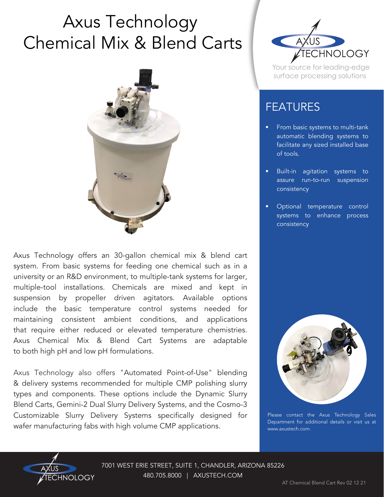## Axus Technology Chemical Mix & Blend Carts



Axus Technology offers an 30-gallon chemical mix & blend cart system. From basic systems for feeding one chemical such as in a university or an R&D environment, to multiple-tank systems for larger, multiple-tool installations. Chemicals are mixed and kept in suspension by propeller driven agitators. Available options include the basic temperature control systems needed for maintaining consistent ambient conditions, and applications that require either reduced or elevated temperature chemistries. Axus Chemical Mix & Blend Cart Systems are adaptable to both high pH and low pH formulations.

Axus Technology also offers "Automated Point-of-Use" blending & delivery systems recommended for multiple CMP polishing slurry types and components. These options include the Dynamic Slurry Blend Carts, Gemini-2 Dual Slurry Delivery Systems, and the Cosmo-3 Customizable Slurry Delivery Systems specifically designed for wafer manufacturing fabs with high volume CMP applications.



Your source for leading-edge surface processing solutions

## FEATURES

- From basic systems to multi-tank automatic blending systems to facilitate any sized installed base of tools.
- Built-in agitation systems to assure run-to-run suspension consistency
- Optional temperature control systems to enhance process consistency



Please contact the Axus Technology Sales Department for additional details or visit us at www.axustech.com.